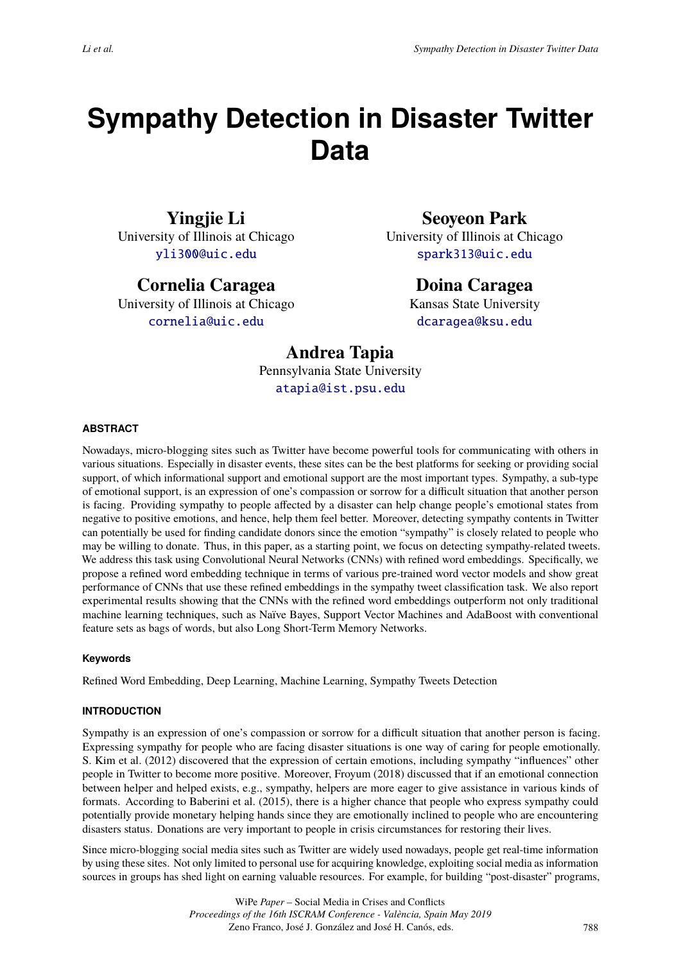# **Sympathy Detection in Disaster Twitter Data**

**Yingjie Li** University of Illinois at Chicago [yli300@uic.edu](mailto:yli300@uic.edu)

**Cornelia Caragea** University of Illinois at Chicago

[cornelia@uic.edu](mailto:cornelia@uic.edu)

**Seoyeon Park**

University of Illinois at Chicago [spark313@uic.edu](mailto:spark313@uic.edu)

# **Doina Caragea**

Kansas State University [dcaragea@ksu.edu](mailto:dcaragea@ksu.edu)

# **Andrea Tapia**

Pennsylvania State University [atapia@ist.psu.edu](mailto:atapia@ist.psu.edu)

# **ABSTRACT**

Nowadays, micro-blogging sites such as Twitter have become powerful tools for communicating with others in various situations. Especially in disaster events, these sites can be the best platforms for seeking or providing social support, of which informational support and emotional support are the most important types. Sympathy, a sub-type of emotional support, is an expression of one's compassion or sorrow for a difficult situation that another person is facing. Providing sympathy to people affected by a disaster can help change people's emotional states from negative to positive emotions, and hence, help them feel better. Moreover, detecting sympathy contents in Twitter can potentially be used for finding candidate donors since the emotion "sympathy" is closely related to people who may be willing to donate. Thus, in this paper, as a starting point, we focus on detecting sympathy-related tweets. We address this task using Convolutional Neural Networks (CNNs) with refined word embeddings. Specifically, we propose a refined word embedding technique in terms of various pre-trained word vector models and show great performance of CNNs that use these refined embeddings in the sympathy tweet classification task. We also report experimental results showing that the CNNs with the refined word embeddings outperform not only traditional machine learning techniques, such as Naïve Bayes, Support Vector Machines and AdaBoost with conventional feature sets as bags of words, but also Long Short-Term Memory Networks.

#### **Keywords**

Refined Word Embedding, Deep Learning, Machine Learning, Sympathy Tweets Detection

# **INTRODUCTION**

Sympathy is an expression of one's compassion or sorrow for a difficult situation that another person is facing. Expressing sympathy for people who are facing disaster situations is one way of caring for people emotionally. S. Kim et al. (2012) discovered that the expression of certain emotions, including sympathy "influences" other people in Twitter to become more positive. Moreover, Froyum (2018) discussed that if an emotional connection between helper and helped exists, e.g., sympathy, helpers are more eager to give assistance in various kinds of formats. According to Baberini et al. (2015), there is a higher chance that people who express sympathy could potentially provide monetary helping hands since they are emotionally inclined to people who are encountering disasters status. Donations are very important to people in crisis circumstances for restoring their lives.

Since micro-blogging social media sites such as Twitter are widely used nowadays, people get real-time information by using these sites. Not only limited to personal use for acquiring knowledge, exploiting social media as information sources in groups has shed light on earning valuable resources. For example, for building "post-disaster" programs,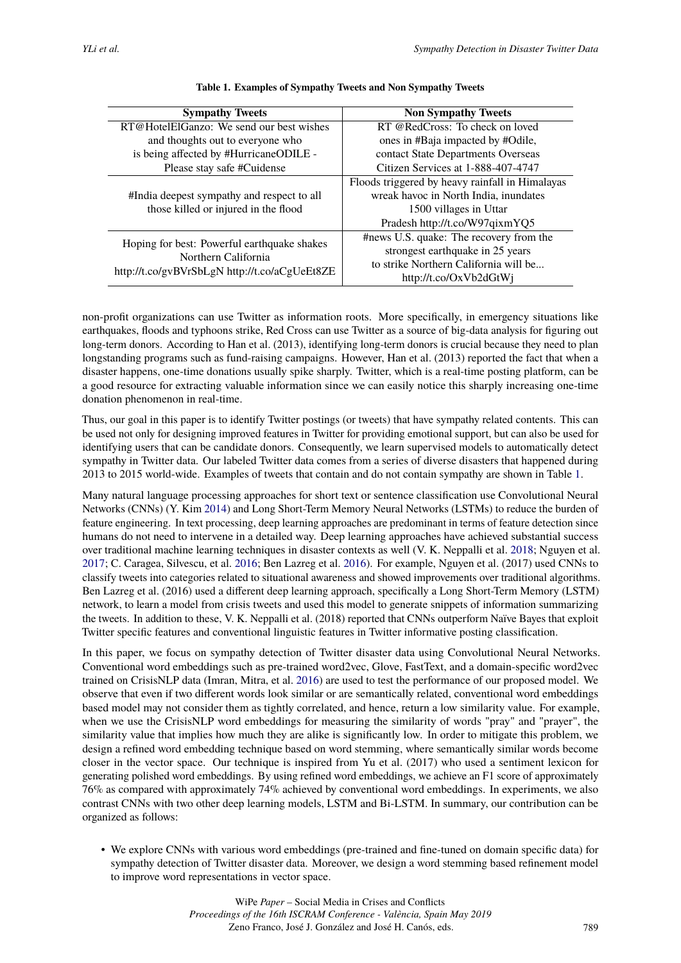<span id="page-1-0"></span>

| <b>Sympathy Tweets</b>                        | <b>Non Sympathy Tweets</b>                      |  |
|-----------------------------------------------|-------------------------------------------------|--|
| RT@HotelElGanzo: We send our best wishes      | RT @RedCross: To check on loved                 |  |
| and thoughts out to everyone who              | ones in #Baja impacted by #Odile,               |  |
| is being affected by #HurricaneODILE -        | contact State Departments Overseas              |  |
| Please stay safe #Cuidense                    | Citizen Services at 1-888-407-4747              |  |
|                                               | Floods triggered by heavy rainfall in Himalayas |  |
| #India deepest sympathy and respect to all    | wreak havoc in North India, inundates           |  |
| those killed or injured in the flood          | 1500 villages in Uttar                          |  |
|                                               | Pradesh http://t.co/W97qixmYQ5                  |  |
| Hoping for best: Powerful earthquake shakes   | #news U.S. quake: The recovery from the         |  |
| Northern California                           | strongest earthquake in 25 years                |  |
|                                               | to strike Northern California will be           |  |
| http://t.co/gvBVrSbLgN http://t.co/aCgUeEt8ZE | http://t.co/OxVb2dGtWj                          |  |

#### **Table 1. Examples of Sympathy Tweets and Non Sympathy Tweets**

non-profit organizations can use Twitter as information roots. More specifically, in emergency situations like earthquakes, floods and typhoons strike, Red Cross can use Twitter as a source of big-data analysis for figuring out long-term donors. According to Han et al. (2013), identifying long-term donors is crucial because they need to plan longstanding programs such as fund-raising campaigns. However, Han et al. (2013) reported the fact that when a disaster happens, one-time donations usually spike sharply. Twitter, which is a real-time posting platform, can be a good resource for extracting valuable information since we can easily notice this sharply increasing one-time donation phenomenon in real-time.

Thus, our goal in this paper is to identify Twitter postings (or tweets) that have sympathy related contents. This can be used not only for designing improved features in Twitter for providing emotional support, but can also be used for identifying users that can be candidate donors. Consequently, we learn supervised models to automatically detect sympathy in Twitter data. Our labeled Twitter data comes from a series of diverse disasters that happened during 2013 to 2015 world-wide. Examples of tweets that contain and do not contain sympathy are shown in Table [1.](#page-1-0)

Many natural language processing approaches for short text or sentence classification use Convolutional Neural Networks (CNNs) (Y. Kim [2014\)](#page-9-0) and Long Short-Term Memory Neural Networks (LSTMs) to reduce the burden of feature engineering. In text processing, deep learning approaches are predominant in terms of feature detection since humans do not need to intervene in a detailed way. Deep learning approaches have achieved substantial success over traditional machine learning techniques in disaster contexts as well (V. K. Neppalli et al. [2018;](#page-9-1) Nguyen et al. [2017;](#page-9-2) C. Caragea, Silvescu, et al. [2016;](#page-8-0) Ben Lazreg et al. [2016\)](#page-8-1). For example, Nguyen et al. (2017) used CNNs to classify tweets into categories related to situational awareness and showed improvements over traditional algorithms. Ben Lazreg et al. (2016) used a different deep learning approach, specifically a Long Short-Term Memory (LSTM) network, to learn a model from crisis tweets and used this model to generate snippets of information summarizing the tweets. In addition to these, V. K. Neppalli et al. (2018) reported that CNNs outperform Naïve Bayes that exploit Twitter specific features and conventional linguistic features in Twitter informative posting classification.

In this paper, we focus on sympathy detection of Twitter disaster data using Convolutional Neural Networks. Conventional word embeddings such as pre-trained word2vec, Glove, FastText, and a domain-specific word2vec trained on CrisisNLP data (Imran, Mitra, et al. [2016\)](#page-9-3) are used to test the performance of our proposed model. We observe that even if two different words look similar or are semantically related, conventional word embeddings based model may not consider them as tightly correlated, and hence, return a low similarity value. For example, when we use the CrisisNLP word embeddings for measuring the similarity of words "pray" and "prayer", the similarity value that implies how much they are alike is significantly low. In order to mitigate this problem, we design a refined word embedding technique based on word stemming, where semantically similar words become closer in the vector space. Our technique is inspired from Yu et al. (2017) who used a sentiment lexicon for generating polished word embeddings. By using refined word embeddings, we achieve an F1 score of approximately 76% as compared with approximately 74% achieved by conventional word embeddings. In experiments, we also contrast CNNs with two other deep learning models, LSTM and Bi-LSTM. In summary, our contribution can be organized as follows:

• We explore CNNs with various word embeddings (pre-trained and fine-tuned on domain specific data) for sympathy detection of Twitter disaster data. Moreover, we design a word stemming based refinement model to improve word representations in vector space.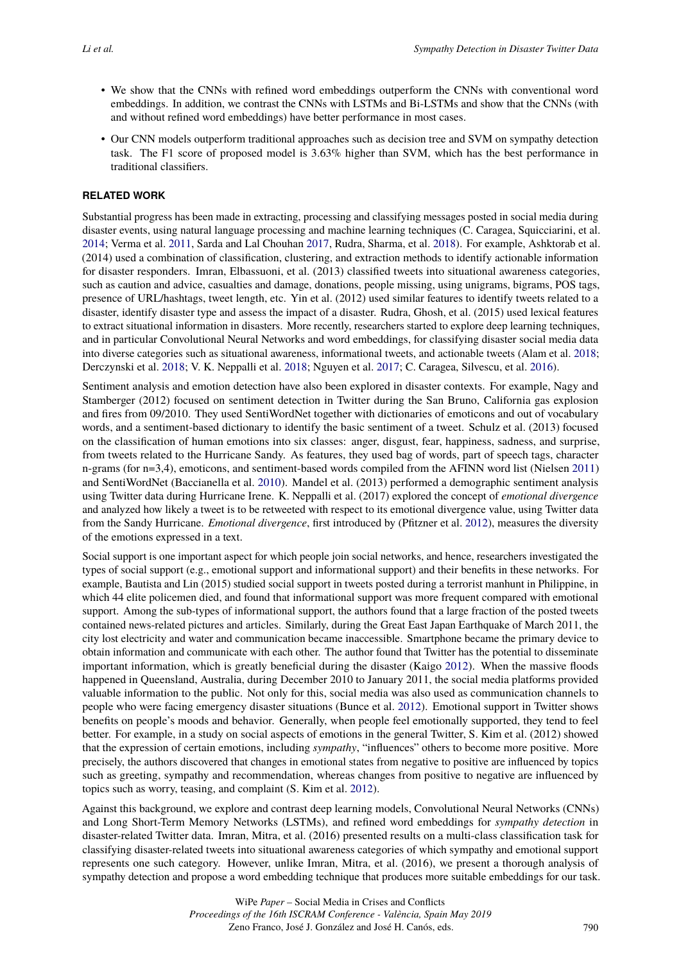- We show that the CNNs with refined word embeddings outperform the CNNs with conventional word embeddings. In addition, we contrast the CNNs with LSTMs and Bi-LSTMs and show that the CNNs (with and without refined word embeddings) have better performance in most cases.
- Our CNN models outperform traditional approaches such as decision tree and SVM on sympathy detection task. The F1 score of proposed model is 3.63% higher than SVM, which has the best performance in traditional classifiers.

# **RELATED WORK**

Substantial progress has been made in extracting, processing and classifying messages posted in social media during disaster events, using natural language processing and machine learning techniques (C. Caragea, Squicciarini, et al. [2014;](#page-8-2) Verma et al. [2011,](#page-10-0) Sarda and Lal Chouhan [2017,](#page-9-4) Rudra, Sharma, et al. [2018\)](#page-9-5). For example, Ashktorab et al. (2014) used a combination of classification, clustering, and extraction methods to identify actionable information for disaster responders. Imran, Elbassuoni, et al. (2013) classified tweets into situational awareness categories, such as caution and advice, casualties and damage, donations, people missing, using unigrams, bigrams, POS tags, presence of URL/hashtags, tweet length, etc. Yin et al. (2012) used similar features to identify tweets related to a disaster, identify disaster type and assess the impact of a disaster. Rudra, Ghosh, et al. (2015) used lexical features to extract situational information in disasters. More recently, researchers started to explore deep learning techniques, and in particular Convolutional Neural Networks and word embeddings, for classifying disaster social media data into diverse categories such as situational awareness, informational tweets, and actionable tweets (Alam et al. [2018;](#page-8-3) Derczynski et al. [2018;](#page-8-4) V. K. Neppalli et al. [2018;](#page-9-1) Nguyen et al. [2017;](#page-9-2) C. Caragea, Silvescu, et al. [2016\)](#page-8-0).

Sentiment analysis and emotion detection have also been explored in disaster contexts. For example, Nagy and Stamberger (2012) focused on sentiment detection in Twitter during the San Bruno, California gas explosion and fires from 09/2010. They used SentiWordNet together with dictionaries of emoticons and out of vocabulary words, and a sentiment-based dictionary to identify the basic sentiment of a tweet. Schulz et al. (2013) focused on the classification of human emotions into six classes: anger, disgust, fear, happiness, sadness, and surprise, from tweets related to the Hurricane Sandy. As features, they used bag of words, part of speech tags, character n-grams (for n=3,4), emoticons, and sentiment-based words compiled from the AFINN word list (Nielsen [2011\)](#page-9-6) and SentiWordNet (Baccianella et al. [2010\)](#page-8-5). Mandel et al. (2013) performed a demographic sentiment analysis using Twitter data during Hurricane Irene. K. Neppalli et al. (2017) explored the concept of *emotional divergence* and analyzed how likely a tweet is to be retweeted with respect to its emotional divergence value, using Twitter data from the Sandy Hurricane. *Emotional divergence*, first introduced by (Pfitzner et al. [2012\)](#page-9-7), measures the diversity of the emotions expressed in a text.

Social support is one important aspect for which people join social networks, and hence, researchers investigated the types of social support (e.g., emotional support and informational support) and their benefits in these networks. For example, Bautista and Lin (2015) studied social support in tweets posted during a terrorist manhunt in Philippine, in which 44 elite policemen died, and found that informational support was more frequent compared with emotional support. Among the sub-types of informational support, the authors found that a large fraction of the posted tweets contained news-related pictures and articles. Similarly, during the Great East Japan Earthquake of March 2011, the city lost electricity and water and communication became inaccessible. Smartphone became the primary device to obtain information and communicate with each other. The author found that Twitter has the potential to disseminate important information, which is greatly beneficial during the disaster (Kaigo [2012\)](#page-9-8). When the massive floods happened in Queensland, Australia, during December 2010 to January 2011, the social media platforms provided valuable information to the public. Not only for this, social media was also used as communication channels to people who were facing emergency disaster situations (Bunce et al. [2012\)](#page-8-6). Emotional support in Twitter shows benefits on people's moods and behavior. Generally, when people feel emotionally supported, they tend to feel better. For example, in a study on social aspects of emotions in the general Twitter, S. Kim et al. (2012) showed that the expression of certain emotions, including *sympathy*, "influences" others to become more positive. More precisely, the authors discovered that changes in emotional states from negative to positive are influenced by topics such as greeting, sympathy and recommendation, whereas changes from positive to negative are influenced by topics such as worry, teasing, and complaint (S. Kim et al. [2012\)](#page-9-9).

Against this background, we explore and contrast deep learning models, Convolutional Neural Networks (CNNs) and Long Short-Term Memory Networks (LSTMs), and refined word embeddings for *sympathy detection* in disaster-related Twitter data. Imran, Mitra, et al. (2016) presented results on a multi-class classification task for classifying disaster-related tweets into situational awareness categories of which sympathy and emotional support represents one such category. However, unlike Imran, Mitra, et al. (2016), we present a thorough analysis of sympathy detection and propose a word embedding technique that produces more suitable embeddings for our task.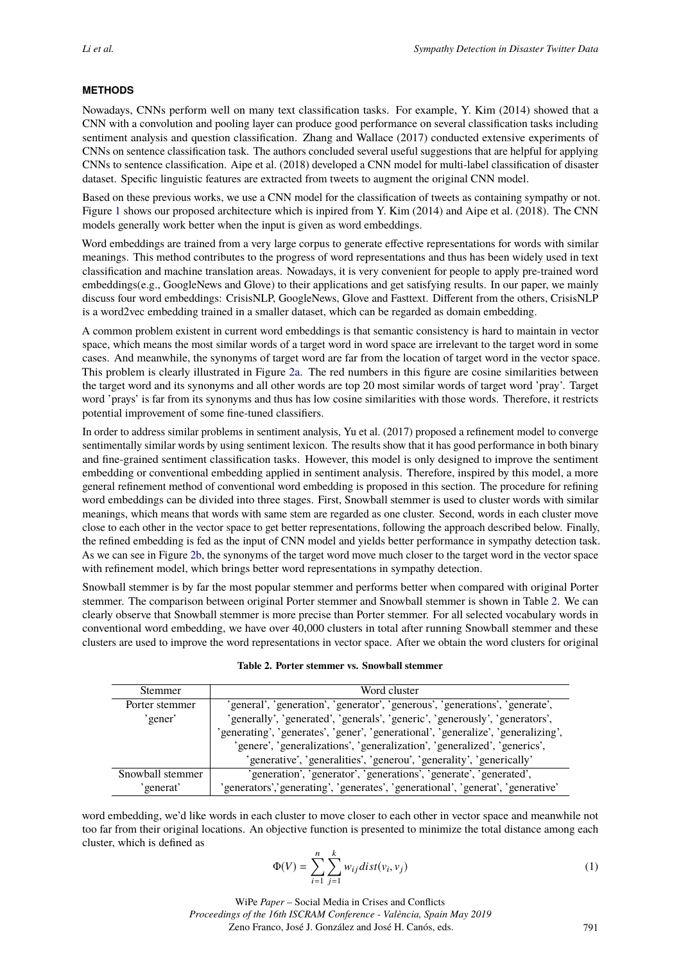# **METHODS**

Nowadays, CNNs perform well on many text classification tasks. For example, Y. Kim (2014) showed that a CNN with a convolution and pooling layer can produce good performance on several classification tasks including sentiment analysis and question classification. Zhang and Wallace (2017) conducted extensive experiments of CNNs on sentence classification task. The authors concluded several useful suggestions that are helpful for applying CNNs to sentence classification. Aipe et al. (2018) developed a CNN model for multi-label classification of disaster dataset. Specific linguistic features are extracted from tweets to augment the original CNN model.

Based on these previous works, we use a CNN model for the classification of tweets as containing sympathy or not. Figure [1](#page-4-0) shows our proposed architecture which is inpired from Y. Kim (2014) and Aipe et al. (2018). The CNN models generally work better when the input is given as word embeddings.

Word embeddings are trained from a very large corpus to generate effective representations for words with similar meanings. This method contributes to the progress of word representations and thus has been widely used in text classification and machine translation areas. Nowadays, it is very convenient for people to apply pre-trained word embeddings(e.g., GoogleNews and Glove) to their applications and get satisfying results. In our paper, we mainly discuss four word embeddings: CrisisNLP, GoogleNews, Glove and Fasttext. Different from the others, CrisisNLP is a word2vec embedding trained in a smaller dataset, which can be regarded as domain embedding.

A common problem existent in current word embeddings is that semantic consistency is hard to maintain in vector space, which means the most similar words of a target word in word space are irrelevant to the target word in some cases. And meanwhile, the synonyms of target word are far from the location of target word in the vector space. This problem is clearly illustrated in Figure [2a.](#page-5-0) The red numbers in this figure are cosine similarities between the target word and its synonyms and all other words are top 20 most similar words of target word 'pray'. Target word 'prays' is far from its synonyms and thus has low cosine similarities with those words. Therefore, it restricts potential improvement of some fine-tuned classifiers.

In order to address similar problems in sentiment analysis, Yu et al. (2017) proposed a refinement model to converge sentimentally similar words by using sentiment lexicon. The results show that it has good performance in both binary and fine-grained sentiment classification tasks. However, this model is only designed to improve the sentiment embedding or conventional embedding applied in sentiment analysis. Therefore, inspired by this model, a more general refinement method of conventional word embedding is proposed in this section. The procedure for refining word embeddings can be divided into three stages. First, Snowball stemmer is used to cluster words with similar meanings, which means that words with same stem are regarded as one cluster. Second, words in each cluster move close to each other in the vector space to get better representations, following the approach described below. Finally, the refined embedding is fed as the input of CNN model and yields better performance in sympathy detection task. As we can see in Figure [2b,](#page-5-0) the synonyms of the target word move much closer to the target word in the vector space with refinement model, which brings better word representations in sympathy detection.

Snowball stemmer is by far the most popular stemmer and performs better when compared with original Porter stemmer. The comparison between original Porter stemmer and Snowball stemmer is shown in Table [2.](#page-3-0) We can clearly observe that Snowball stemmer is more precise than Porter stemmer. For all selected vocabulary words in conventional word embedding, we have over 40,000 clusters in total after running Snowball stemmer and these clusters are used to improve the word representations in vector space. After we obtain the word clusters for original

|  |  |  |  | Table 2. Porter stemmer vs. Snowball stemmer |  |
|--|--|--|--|----------------------------------------------|--|
|--|--|--|--|----------------------------------------------|--|

<span id="page-3-0"></span>

| <b>Stemmer</b>   | Word cluster                                                                      |
|------------------|-----------------------------------------------------------------------------------|
| Porter stemmer   | 'general', 'generation', 'generator', 'generous', 'generations', 'generate',      |
| 'gener'          | 'generally', 'generated', 'generals', 'generic', 'generously', 'generators',      |
|                  | 'generating', 'generates', 'gener', 'generational', 'generalize', 'generalizing', |
|                  | 'genere', 'generalizations', 'generalization', 'generalized', 'generics',         |
|                  | 'generative', 'generalities', 'generou', 'generality', 'generically'              |
| Snowball stemmer | 'generation', 'generator', 'generations', 'generate', 'generated',                |
| 'generat'        | 'generators','generating', 'generates', 'generational', 'generat', 'generative'   |

word embedding, we'd like words in each cluster to move closer to each other in vector space and meanwhile not too far from their original locations. An objective function is presented to minimize the total distance among each cluster, which is defined as

$$
\Phi(V) = \sum_{i=1}^{n} \sum_{j=1}^{k} w_{ij} dist(v_i, v_j)
$$
\n(1)

WiPe *Paper –* Social Media in Crises and Conflicts *Proceedings of the 16th ISCRAM Conference - València, Spain May 2019* Zeno Franco, José J. González and José H. Canós, eds.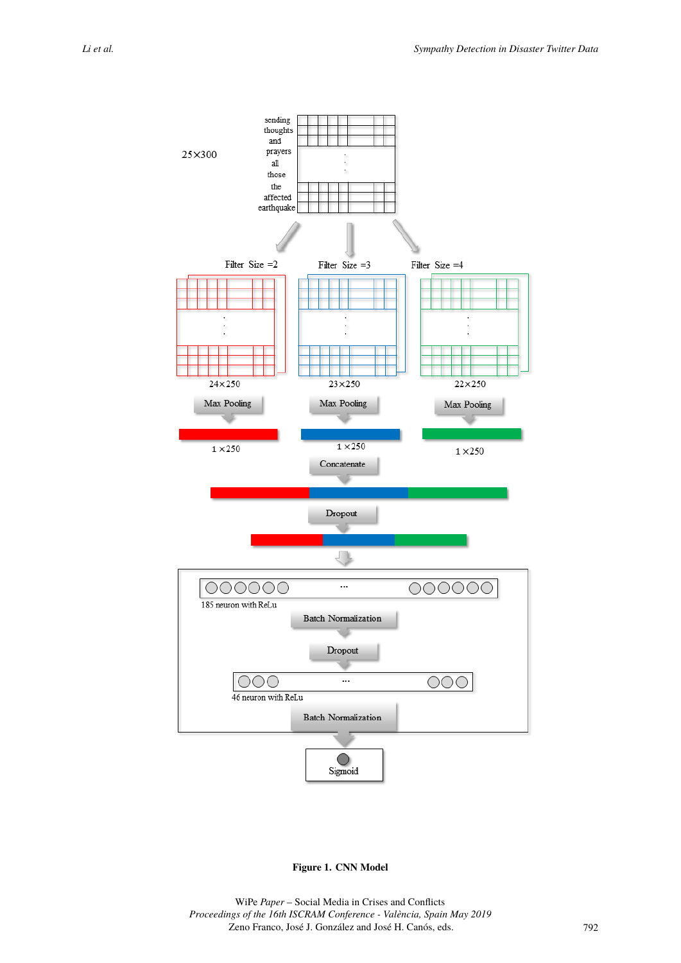<span id="page-4-0"></span>

**Figure 1. CNN Model**

WiPe *Paper –* Social Media in Crises and Conflicts *Proceedings of the 16th ISCRAM Conference - València, Spain May 2019* Zeno Franco, José J. González and José H. Canós, eds.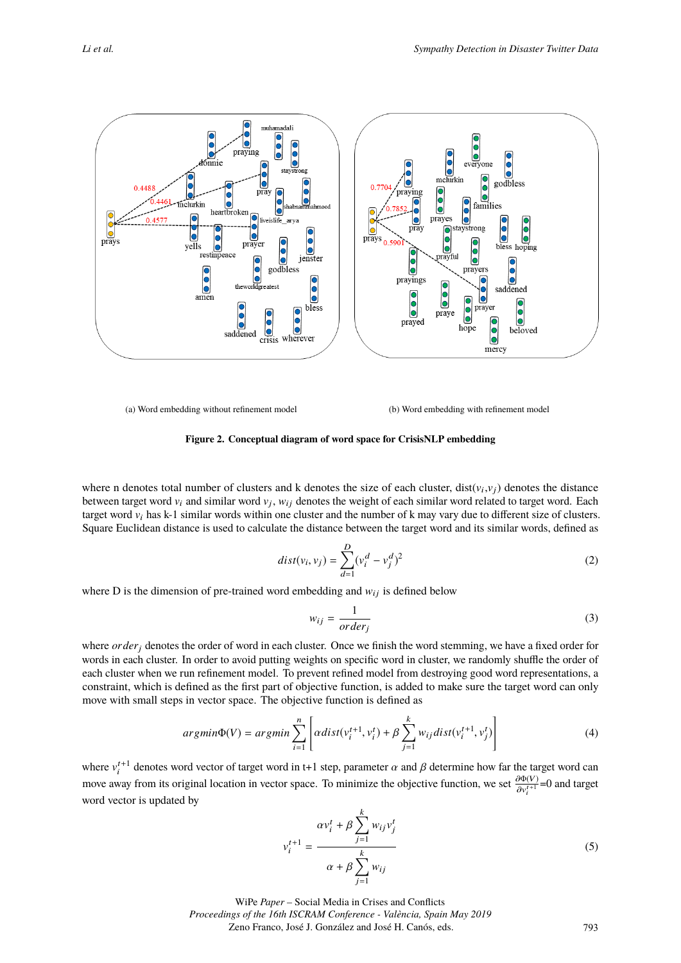<span id="page-5-0"></span>

(a) Word embedding without refinement model (b) Word embedding with refinement model

#### **Figure 2. Conceptual diagram of word space for CrisisNLP embedding**

where n denotes total number of clusters and k denotes the size of each cluster,  $dist(v_i, v_j)$  denotes the distance between target word  $v_i$  and similar word  $v_j$ ,  $w_{ij}$  denotes the weight of each similar word related to target word. Each target word  $v_i$  has k-1 similar words within one cluster and the number of k may vary due to different size of clusters. Square Euclidean distance is used to calculate the distance between the target word and its similar words, defined as

$$
dist(v_i, v_j) = \sum_{d=1}^{D} (v_i^d - v_j^d)^2
$$
\n(2)

where D is the dimension of pre-trained word embedding and  $w_{ij}$  is defined below

$$
w_{ij} = \frac{1}{order_j} \tag{3}
$$

where *order<sub>i</sub>* denotes the order of word in each cluster. Once we finish the word stemming, we have a fixed order for words in each cluster. In order to avoid putting weights on specific word in cluster, we randomly shuffle the order of each cluster when we run refinement model. To prevent refined model from destroying good word representations, a constraint, which is defined as the first part of objective function, is added to make sure the target word can only move with small steps in vector space. The objective function is defined as

$$
argmin\Phi(V) = argmin\sum_{i=1}^{n} \left[ \alpha dist(v_i^{t+1}, v_i^t) + \beta \sum_{j=1}^{k} w_{ij} dist(v_i^{t+1}, v_j^t) \right]
$$
(4)

where  $v_i^{t+1}$  denotes word vector of target word in t+1 step, parameter  $\alpha$  and  $\beta$  determine how far the target word can move away from its original location in vector space. To minimize the objective function, we set  $\frac{\partial \Phi(V)}{\partial u^{t+1}}$  $\frac{\partial \Phi(V)}{\partial v_i^{t+1}}$ =0 and target word vector is updated by

$$
v_i^{t+1} = \frac{\alpha v_i^t + \beta \sum_{j=1}^k w_{ij} v_j^t}{\alpha + \beta \sum_{j=1}^k w_{ij}}
$$
(5)

WiPe *Paper –* Social Media in Crises and Conflicts *Proceedings of the 16th ISCRAM Conference - València, Spain May 2019* Zeno Franco, José J. González and José H. Canós, eds.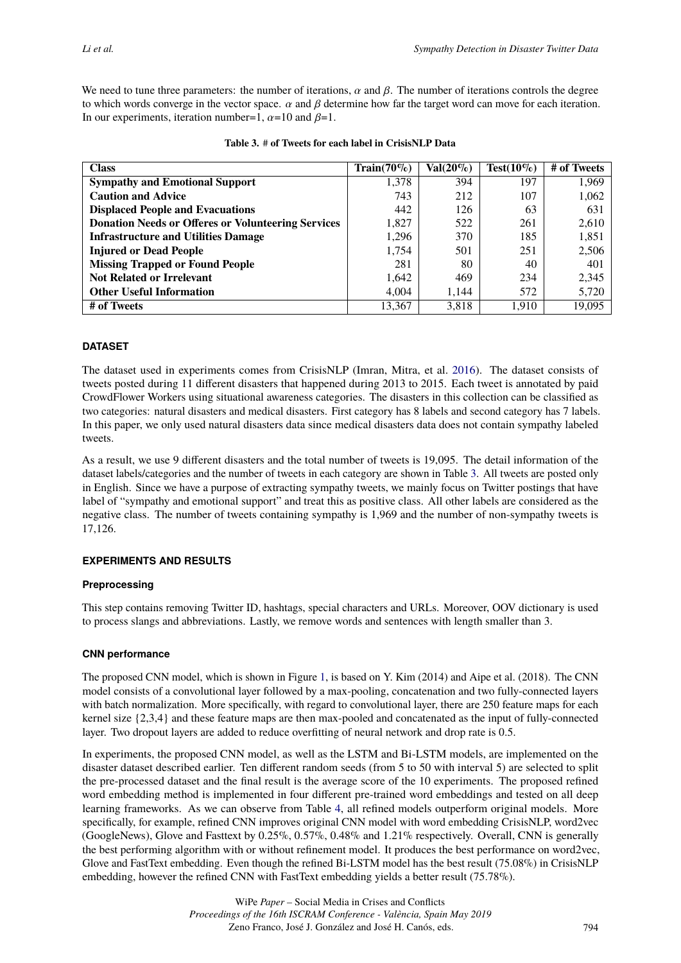We need to tune three parameters: the number of iterations,  $\alpha$  and  $\beta$ . The number of iterations controls the degree to which words converge in the vector space.  $\alpha$  and  $\beta$  determine how far the target word can move for each iteration. In our experiments, iteration number=1,  $\alpha$ =10 and  $\beta$ =1.

<span id="page-6-0"></span>

| <b>Class</b>                                              | $Train(70\%)$ | $Val(20\%)$ | $Test(10\%)$ | # of Tweets |
|-----------------------------------------------------------|---------------|-------------|--------------|-------------|
| <b>Sympathy and Emotional Support</b>                     | 1,378         | 394         | 197          | 1,969       |
| <b>Caution and Advice</b>                                 | 743           | 212         | 107          | 1,062       |
| <b>Displaced People and Evacuations</b>                   | 442           | 126         | 63           | 631         |
| <b>Donation Needs or Offeres or Volunteering Services</b> | 1,827         | 522         | 261          | 2,610       |
| <b>Infrastructure and Utilities Damage</b>                | 1,296         | 370         | 185          | 1,851       |
| <b>Injured or Dead People</b>                             | 1.754         | 501         | 251          | 2,506       |
| <b>Missing Trapped or Found People</b>                    | 281           | 80          | 40           | 401         |
| <b>Not Related or Irrelevant</b>                          | 1,642         | 469         | 234          | 2,345       |
| <b>Other Useful Information</b>                           | 4.004         | 1.144       | 572          | 5,720       |
| # of Tweets                                               | 13,367        | 3,818       | 1,910        | 19.095      |

#### **Table 3.** # **of Tweets for each label in CrisisNLP Data**

# **DATASET**

The dataset used in experiments comes from CrisisNLP (Imran, Mitra, et al. [2016\)](#page-9-3). The dataset consists of tweets posted during 11 different disasters that happened during 2013 to 2015. Each tweet is annotated by paid CrowdFlower Workers using situational awareness categories. The disasters in this collection can be classified as two categories: natural disasters and medical disasters. First category has 8 labels and second category has 7 labels. In this paper, we only used natural disasters data since medical disasters data does not contain sympathy labeled tweets.

As a result, we use 9 different disasters and the total number of tweets is 19,095. The detail information of the dataset labels/categories and the number of tweets in each category are shown in Table [3.](#page-6-0) All tweets are posted only in English. Since we have a purpose of extracting sympathy tweets, we mainly focus on Twitter postings that have label of "sympathy and emotional support" and treat this as positive class. All other labels are considered as the negative class. The number of tweets containing sympathy is 1,969 and the number of non-sympathy tweets is 17,126.

#### **EXPERIMENTS AND RESULTS**

#### **Preprocessing**

This step contains removing Twitter ID, hashtags, special characters and URLs. Moreover, OOV dictionary is used to process slangs and abbreviations. Lastly, we remove words and sentences with length smaller than 3.

#### **CNN performance**

The proposed CNN model, which is shown in Figure [1,](#page-4-0) is based on Y. Kim (2014) and Aipe et al. (2018). The CNN model consists of a convolutional layer followed by a max-pooling, concatenation and two fully-connected layers with batch normalization. More specifically, with regard to convolutional layer, there are 250 feature maps for each kernel size {2,3,4} and these feature maps are then max-pooled and concatenated as the input of fully-connected layer. Two dropout layers are added to reduce overfitting of neural network and drop rate is 0.5.

In experiments, the proposed CNN model, as well as the LSTM and Bi-LSTM models, are implemented on the disaster dataset described earlier. Ten different random seeds (from 5 to 50 with interval 5) are selected to split the pre-processed dataset and the final result is the average score of the 10 experiments. The proposed refined word embedding method is implemented in four different pre-trained word embeddings and tested on all deep learning frameworks. As we can observe from Table [4,](#page-7-0) all refined models outperform original models. More specifically, for example, refined CNN improves original CNN model with word embedding CrisisNLP, word2vec (GoogleNews), Glove and Fasttext by 0.25%, 0.57%, 0.48% and 1.21% respectively. Overall, CNN is generally the best performing algorithm with or without refinement model. It produces the best performance on word2vec, Glove and FastText embedding. Even though the refined Bi-LSTM model has the best result (75.08%) in CrisisNLP embedding, however the refined CNN with FastText embedding yields a better result (75.78%).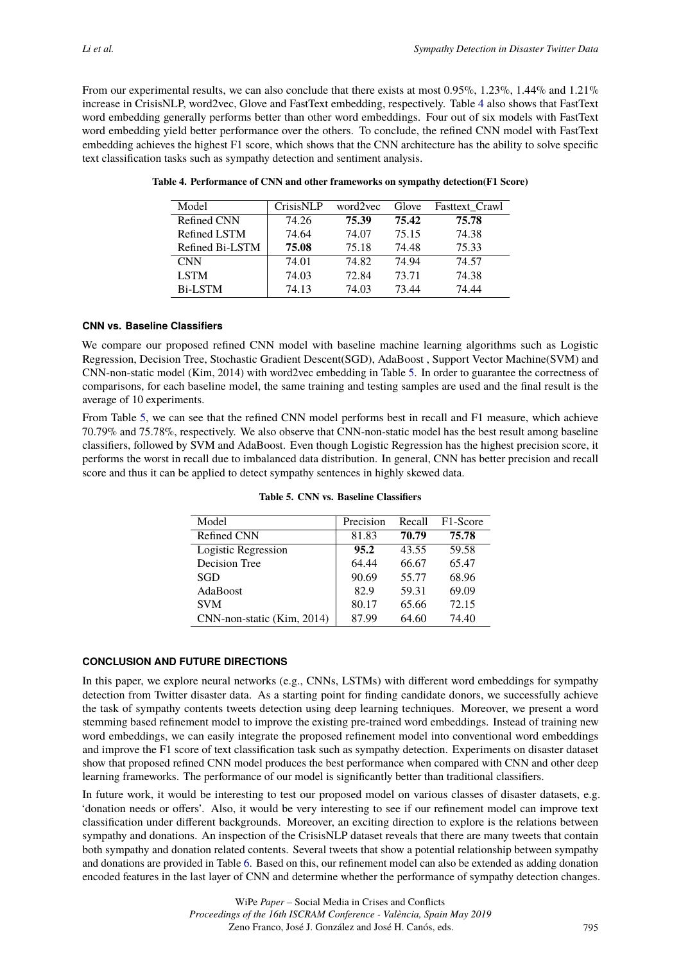From our experimental results, we can also conclude that there exists at most  $0.95\%$ ,  $1.23\%$ ,  $1.44\%$  and  $1.21\%$ increase in CrisisNLP, word2vec, Glove and FastText embedding, respectively. Table [4](#page-7-0) also shows that FastText word embedding generally performs better than other word embeddings. Four out of six models with FastText word embedding yield better performance over the others. To conclude, the refined CNN model with FastText embedding achieves the highest F1 score, which shows that the CNN architecture has the ability to solve specific text classification tasks such as sympathy detection and sentiment analysis.

| Model           | <b>CrisisNLP</b> | word2yec | Glove | <b>Fasttext Crawl</b> |
|-----------------|------------------|----------|-------|-----------------------|
| Refined CNN     | 74.26            | 75.39    | 75.42 | 75.78                 |
| Refined LSTM    | 74.64            | 74.07    | 75.15 | 74.38                 |
| Refined Bi-LSTM | 75.08            | 75.18    | 74.48 | 75.33                 |
| <b>CNN</b>      | 74.01            | 74.82    | 74.94 | 74.57                 |
| <b>LSTM</b>     | 74.03            | 72.84    | 73.71 | 74.38                 |
| <b>Bi-LSTM</b>  | 74.13            | 74.03    | 73.44 | 74.44                 |

<span id="page-7-0"></span>**Table 4. Performance of CNN and other frameworks on sympathy detection(F1 Score)**

# **CNN vs. Baseline Classifiers**

We compare our proposed refined CNN model with baseline machine learning algorithms such as Logistic Regression, Decision Tree, Stochastic Gradient Descent(SGD), AdaBoost , Support Vector Machine(SVM) and CNN-non-static model (Kim, 2014) with word2vec embedding in Table [5.](#page-7-1) In order to guarantee the correctness of comparisons, for each baseline model, the same training and testing samples are used and the final result is the average of 10 experiments.

<span id="page-7-1"></span>From Table [5,](#page-7-1) we can see that the refined CNN model performs best in recall and F1 measure, which achieve 70.79% and 75.78%, respectively. We also observe that CNN-non-static model has the best result among baseline classifiers, followed by SVM and AdaBoost. Even though Logistic Regression has the highest precision score, it performs the worst in recall due to imbalanced data distribution. In general, CNN has better precision and recall score and thus it can be applied to detect sympathy sentences in highly skewed data.

| Model                      | Precision | Recall | F <sub>1</sub> -Score |
|----------------------------|-----------|--------|-----------------------|
| Refined CNN                | 81.83     | 70.79  | 75.78                 |
| Logistic Regression        | 95.2      | 43.55  | 59.58                 |
| Decision Tree              | 64.44     | 66.67  | 65.47                 |
| SGD                        | 90.69     | 55.77  | 68.96                 |
| AdaBoost                   | 82.9      | 59.31  | 69.09                 |
| <b>SVM</b>                 | 80.17     | 65.66  | 72.15                 |
| CNN-non-static (Kim, 2014) | 87.99     | 64.60  | 74.40                 |

**Table 5. CNN vs. Baseline Classifiers**

# **CONCLUSION AND FUTURE DIRECTIONS**

In this paper, we explore neural networks (e.g., CNNs, LSTMs) with different word embeddings for sympathy detection from Twitter disaster data. As a starting point for finding candidate donors, we successfully achieve the task of sympathy contents tweets detection using deep learning techniques. Moreover, we present a word stemming based refinement model to improve the existing pre-trained word embeddings. Instead of training new word embeddings, we can easily integrate the proposed refinement model into conventional word embeddings and improve the F1 score of text classification task such as sympathy detection. Experiments on disaster dataset show that proposed refined CNN model produces the best performance when compared with CNN and other deep learning frameworks. The performance of our model is significantly better than traditional classifiers.

In future work, it would be interesting to test our proposed model on various classes of disaster datasets, e.g. 'donation needs or offers'. Also, it would be very interesting to see if our refinement model can improve text classification under different backgrounds. Moreover, an exciting direction to explore is the relations between sympathy and donations. An inspection of the CrisisNLP dataset reveals that there are many tweets that contain both sympathy and donation related contents. Several tweets that show a potential relationship between sympathy and donations are provided in Table [6.](#page-8-7) Based on this, our refinement model can also be extended as adding donation encoded features in the last layer of CNN and determine whether the performance of sympathy detection changes.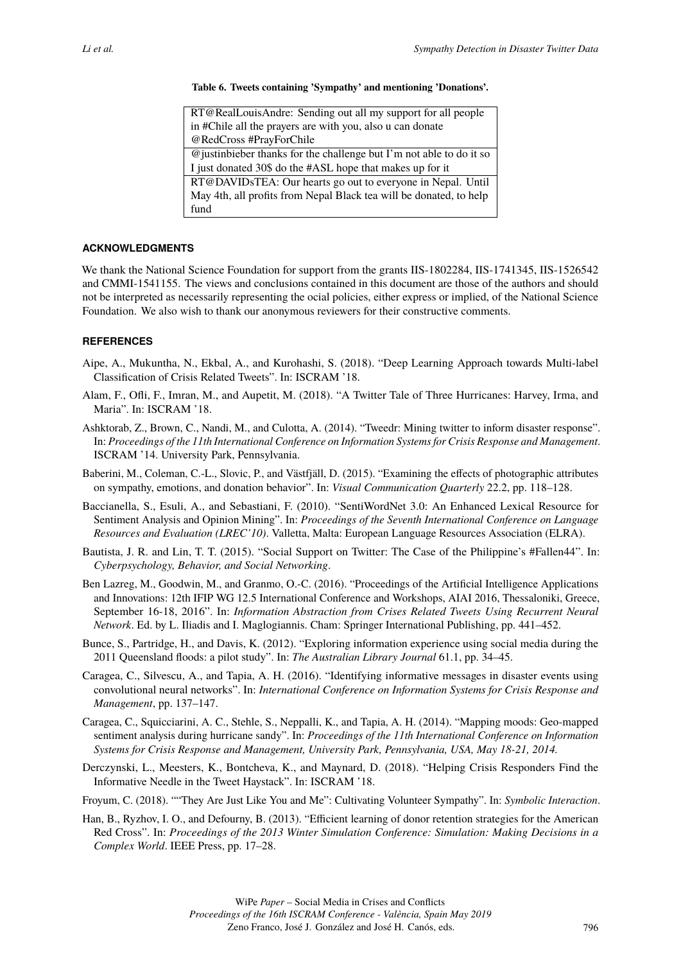#### **Table 6. Tweets containing 'Sympathy' and mentioning 'Donations'.**

<span id="page-8-7"></span>

| RT@RealLouisAndre: Sending out all my support for all people         |
|----------------------------------------------------------------------|
|                                                                      |
| in #Chile all the prayers are with you, also u can donate            |
| @RedCross #PrayForChile                                              |
| @ justinbieber thanks for the challenge but I'm not able to do it so |
| I just donated 30\$ do the #ASL hope that makes up for it            |
| RT@DAVIDsTEA: Our hearts go out to everyone in Nepal. Until          |
| May 4th, all profits from Nepal Black tea will be donated, to help   |
| fund                                                                 |

# **ACKNOWLEDGMENTS**

We thank the National Science Foundation for support from the grants IIS-1802284, IIS-1741345, IIS-1526542 and CMMI-1541155. The views and conclusions contained in this document are those of the authors and should not be interpreted as necessarily representing the ocial policies, either express or implied, of the National Science Foundation. We also wish to thank our anonymous reviewers for their constructive comments.

# **REFERENCES**

- Aipe, A., Mukuntha, N., Ekbal, A., and Kurohashi, S. (2018). "Deep Learning Approach towards Multi-label Classification of Crisis Related Tweets". In: ISCRAM '18.
- <span id="page-8-3"></span>Alam, F., Ofli, F., Imran, M., and Aupetit, M. (2018). "A Twitter Tale of Three Hurricanes: Harvey, Irma, and Maria". In: ISCRAM '18.
- Ashktorab, Z., Brown, C., Nandi, M., and Culotta, A. (2014). "Tweedr: Mining twitter to inform disaster response". In: *Proceedings of the 11th International Conference on Information Systems for Crisis Response and Management*. ISCRAM '14. University Park, Pennsylvania.
- Baberini, M., Coleman, C.-L., Slovic, P., and Västfjäll, D. (2015). "Examining the effects of photographic attributes on sympathy, emotions, and donation behavior". In: *Visual Communication Quarterly* 22.2, pp. 118–128.
- <span id="page-8-5"></span>Baccianella, S., Esuli, A., and Sebastiani, F. (2010). "SentiWordNet 3.0: An Enhanced Lexical Resource for Sentiment Analysis and Opinion Mining". In: *Proceedings of the Seventh International Conference on Language Resources and Evaluation (LREC'10)*. Valletta, Malta: European Language Resources Association (ELRA).
- Bautista, J. R. and Lin, T. T. (2015). "Social Support on Twitter: The Case of the Philippine's #Fallen44". In: *Cyberpsychology, Behavior, and Social Networking*.
- <span id="page-8-1"></span>Ben Lazreg, M., Goodwin, M., and Granmo, O.-C. (2016). "Proceedings of the Artificial Intelligence Applications and Innovations: 12th IFIP WG 12.5 International Conference and Workshops, AIAI 2016, Thessaloniki, Greece, September 16-18, 2016". In: *Information Abstraction from Crises Related Tweets Using Recurrent Neural Network*. Ed. by L. Iliadis and I. Maglogiannis. Cham: Springer International Publishing, pp. 441–452.
- <span id="page-8-6"></span>Bunce, S., Partridge, H., and Davis, K. (2012). "Exploring information experience using social media during the 2011 Queensland floods: a pilot study". In: *The Australian Library Journal* 61.1, pp. 34–45.
- <span id="page-8-0"></span>Caragea, C., Silvescu, A., and Tapia, A. H. (2016). "Identifying informative messages in disaster events using convolutional neural networks". In: *International Conference on Information Systems for Crisis Response and Management*, pp. 137–147.
- <span id="page-8-2"></span>Caragea, C., Squicciarini, A. C., Stehle, S., Neppalli, K., and Tapia, A. H. (2014). "Mapping moods: Geo-mapped sentiment analysis during hurricane sandy". In: *Proceedings of the 11th International Conference on Information Systems for Crisis Response and Management, University Park, Pennsylvania, USA, May 18-21, 2014.*
- <span id="page-8-4"></span>Derczynski, L., Meesters, K., Bontcheva, K., and Maynard, D. (2018). "Helping Crisis Responders Find the Informative Needle in the Tweet Haystack". In: ISCRAM '18.
- Froyum, C. (2018). ""They Are Just Like You and Me": Cultivating Volunteer Sympathy". In: *Symbolic Interaction*.
- Han, B., Ryzhov, I. O., and Defourny, B. (2013). "Efficient learning of donor retention strategies for the American Red Cross". In: *Proceedings of the 2013 Winter Simulation Conference: Simulation: Making Decisions in a Complex World*. IEEE Press, pp. 17–28.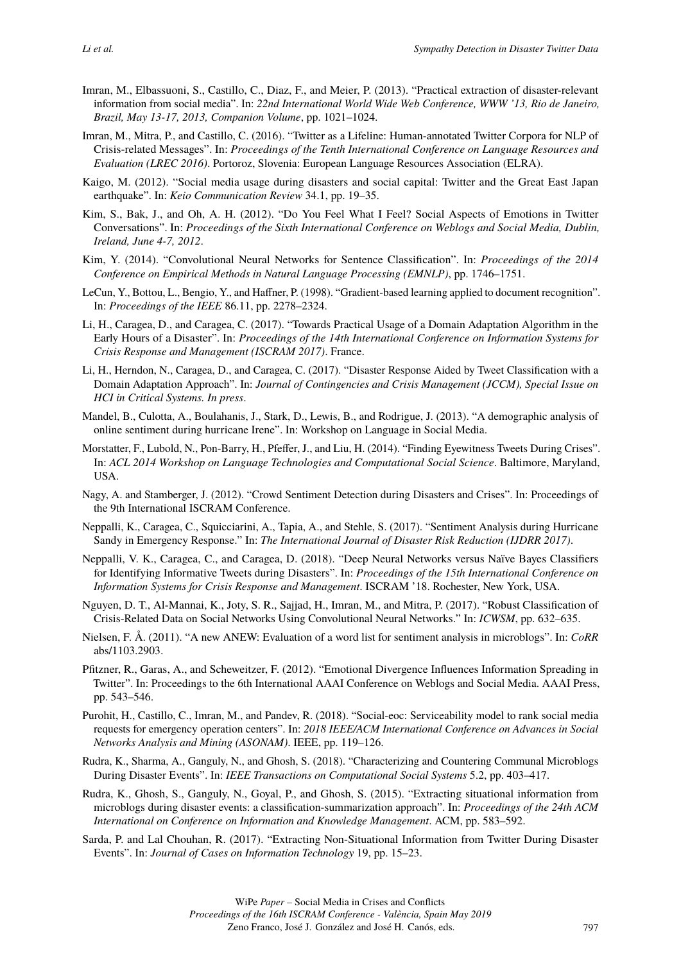- Imran, M., Elbassuoni, S., Castillo, C., Diaz, F., and Meier, P. (2013). "Practical extraction of disaster-relevant information from social media". In: *22nd International World Wide Web Conference, WWW '13, Rio de Janeiro, Brazil, May 13-17, 2013, Companion Volume*, pp. 1021–1024.
- <span id="page-9-3"></span>Imran, M., Mitra, P., and Castillo, C. (2016). "Twitter as a Lifeline: Human-annotated Twitter Corpora for NLP of Crisis-related Messages". In: *Proceedings of the Tenth International Conference on Language Resources and Evaluation (LREC 2016)*. Portoroz, Slovenia: European Language Resources Association (ELRA).
- <span id="page-9-8"></span>Kaigo, M. (2012). "Social media usage during disasters and social capital: Twitter and the Great East Japan earthquake". In: *Keio Communication Review* 34.1, pp. 19–35.
- <span id="page-9-9"></span>Kim, S., Bak, J., and Oh, A. H. (2012). "Do You Feel What I Feel? Social Aspects of Emotions in Twitter Conversations". In: *Proceedings of the Sixth International Conference on Weblogs and Social Media, Dublin, Ireland, June 4-7, 2012*.
- <span id="page-9-0"></span>Kim, Y. (2014). "Convolutional Neural Networks for Sentence Classification". In: *Proceedings of the 2014 Conference on Empirical Methods in Natural Language Processing (EMNLP)*, pp. 1746–1751.
- LeCun, Y., Bottou, L., Bengio, Y., and Haffner, P. (1998). "Gradient-based learning applied to document recognition". In: *Proceedings of the IEEE* 86.11, pp. 2278–2324.
- Li, H., Caragea, D., and Caragea, C. (2017). "Towards Practical Usage of a Domain Adaptation Algorithm in the Early Hours of a Disaster". In: *Proceedings of the 14th International Conference on Information Systems for Crisis Response and Management (ISCRAM 2017)*. France.
- Li, H., Herndon, N., Caragea, D., and Caragea, C. (2017). "Disaster Response Aided by Tweet Classification with a Domain Adaptation Approach". In: *Journal of Contingencies and Crisis Management (JCCM), Special Issue on HCI in Critical Systems. In press*.
- Mandel, B., Culotta, A., Boulahanis, J., Stark, D., Lewis, B., and Rodrigue, J. (2013). "A demographic analysis of online sentiment during hurricane Irene". In: Workshop on Language in Social Media.
- Morstatter, F., Lubold, N., Pon-Barry, H., Pfeffer, J., and Liu, H. (2014). "Finding Eyewitness Tweets During Crises". In: *ACL 2014 Workshop on Language Technologies and Computational Social Science*. Baltimore, Maryland, USA.
- Nagy, A. and Stamberger, J. (2012). "Crowd Sentiment Detection during Disasters and Crises". In: Proceedings of the 9th International ISCRAM Conference.
- Neppalli, K., Caragea, C., Squicciarini, A., Tapia, A., and Stehle, S. (2017). "Sentiment Analysis during Hurricane Sandy in Emergency Response." In: *The International Journal of Disaster Risk Reduction (IJDRR 2017)*.
- <span id="page-9-1"></span>Neppalli, V. K., Caragea, C., and Caragea, D. (2018). "Deep Neural Networks versus Naïve Bayes Classifiers for Identifying Informative Tweets during Disasters". In: *Proceedings of the 15th International Conference on Information Systems for Crisis Response and Management*. ISCRAM '18. Rochester, New York, USA.
- <span id="page-9-2"></span>Nguyen, D. T., Al-Mannai, K., Joty, S. R., Sajjad, H., Imran, M., and Mitra, P. (2017). "Robust Classification of Crisis-Related Data on Social Networks Using Convolutional Neural Networks." In: *ICWSM*, pp. 632–635.
- <span id="page-9-6"></span>Nielsen, F. Å. (2011). "A new ANEW: Evaluation of a word list for sentiment analysis in microblogs". In: *CoRR* abs/1103.2903.
- <span id="page-9-7"></span>Pfitzner, R., Garas, A., and Scheweitzer, F. (2012). "Emotional Divergence Influences Information Spreading in Twitter". In: Proceedings to the 6th International AAAI Conference on Weblogs and Social Media. AAAI Press, pp. 543–546.
- Purohit, H., Castillo, C., Imran, M., and Pandev, R. (2018). "Social-eoc: Serviceability model to rank social media requests for emergency operation centers". In: *2018 IEEE/ACM International Conference on Advances in Social Networks Analysis and Mining (ASONAM)*. IEEE, pp. 119–126.
- <span id="page-9-5"></span>Rudra, K., Sharma, A., Ganguly, N., and Ghosh, S. (2018). "Characterizing and Countering Communal Microblogs During Disaster Events". In: *IEEE Transactions on Computational Social Systems* 5.2, pp. 403–417.
- Rudra, K., Ghosh, S., Ganguly, N., Goyal, P., and Ghosh, S. (2015). "Extracting situational information from microblogs during disaster events: a classification-summarization approach". In: *Proceedings of the 24th ACM International on Conference on Information and Knowledge Management*. ACM, pp. 583–592.
- <span id="page-9-4"></span>Sarda, P. and Lal Chouhan, R. (2017). "Extracting Non-Situational Information from Twitter During Disaster Events". In: *Journal of Cases on Information Technology* 19, pp. 15–23.